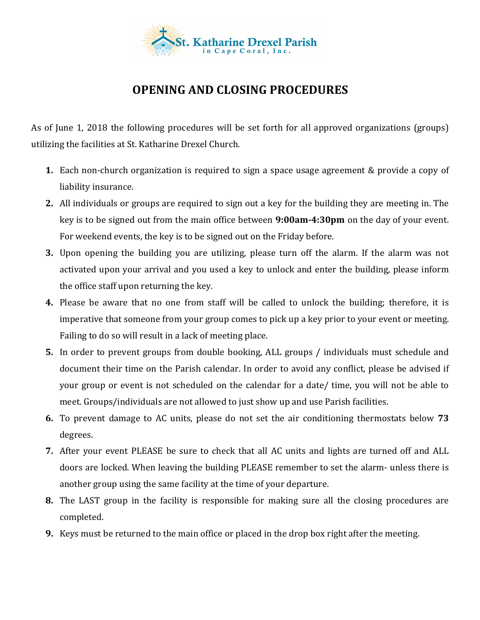

## **OPENING AND CLOSING PROCEDURES**

As of June 1, 2018 the following procedures will be set forth for all approved organizations (groups) utilizing the facilities at St. Katharine Drexel Church.

- **1.** Each non-church organization is required to sign a space usage agreement & provide a copy of liability insurance.
- **2.** All individuals or groups are required to sign out a key for the building they are meeting in. The key is to be signed out from the main office between **9:00am-4:30pm** on the day of your event. For weekend events, the key is to be signed out on the Friday before.
- **3.** Upon opening the building you are utilizing, please turn off the alarm. If the alarm was not activated upon your arrival and you used a key to unlock and enter the building, please inform the office staff upon returning the key.
- **4.** Please be aware that no one from staff will be called to unlock the building; therefore, it is imperative that someone from your group comes to pick up a key prior to your event or meeting. Failing to do so will result in a lack of meeting place.
- **5.** In order to prevent groups from double booking, ALL groups / individuals must schedule and document their time on the Parish calendar. In order to avoid any conflict, please be advised if your group or event is not scheduled on the calendar for a date/ time, you will not be able to meet. Groups/individuals are not allowed to just show up and use Parish facilities.
- **6.** To prevent damage to AC units, please do not set the air conditioning thermostats below 73 degrees.
- **7.** After your event PLEASE be sure to check that all AC units and lights are turned off and ALL doors are locked. When leaving the building PLEASE remember to set the alarm- unless there is another group using the same facility at the time of your departure.
- **8.** The LAST group in the facility is responsible for making sure all the closing procedures are completed.
- **9.** Keys must be returned to the main office or placed in the drop box right after the meeting.